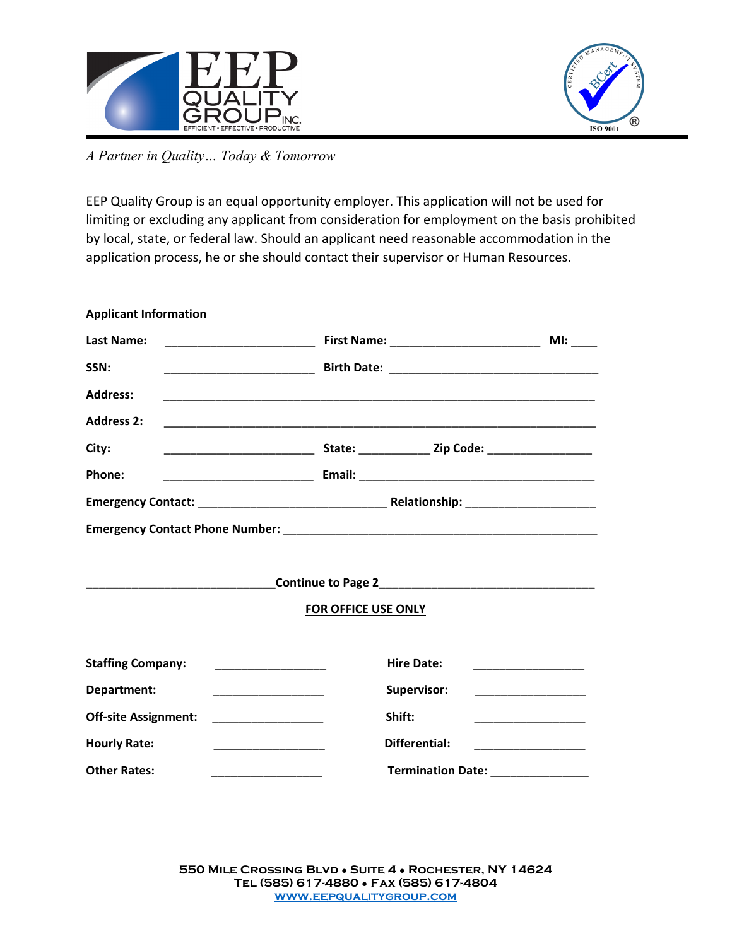



*A Partner in Quality… Today & Tomorrow*

EEP Quality Group is an equal opportunity employer. This application will not be used for limiting or excluding any applicant from consideration for employment on the basis prohibited by local, state, or federal law. Should an applicant need reasonable accommodation in the application process, he or she should contact their supervisor or Human Resources.

| <b>Applicant Information</b>                                                                                                                  |                                                |                                         |
|-----------------------------------------------------------------------------------------------------------------------------------------------|------------------------------------------------|-----------------------------------------|
| <b>Last Name:</b>                                                                                                                             |                                                |                                         |
| SSN:                                                                                                                                          |                                                |                                         |
| <b>Address:</b>                                                                                                                               |                                                |                                         |
| <b>Address 2:</b>                                                                                                                             |                                                |                                         |
| City:                                                                                                                                         |                                                |                                         |
| Phone:                                                                                                                                        |                                                |                                         |
|                                                                                                                                               |                                                |                                         |
|                                                                                                                                               |                                                |                                         |
|                                                                                                                                               |                                                |                                         |
|                                                                                                                                               |                                                |                                         |
|                                                                                                                                               | <b>FOR OFFICE USE ONLY</b>                     |                                         |
|                                                                                                                                               |                                                |                                         |
| <b>Staffing Company:</b><br><u> 1980 - Andrea Andrew Maria Barat (</u>                                                                        | <b>Hire Date:</b>                              |                                         |
| Department:                                                                                                                                   | Supervisor:                                    |                                         |
| <b>Off-site Assignment:</b>                                                                                                                   | Shift:                                         | ____________________________            |
| <b>Hourly Rate:</b><br><u> 1999 - Johann John Harry Harry Harry Harry Harry Harry Harry Harry Harry Harry Harry Harry Harry Harry Harry H</u> | <b>Differential:</b>                           | <u> 1990 - Johann Barn, mars et al.</u> |
| <b>Other Rates:</b>                                                                                                                           | Termination Date: Network of American Services |                                         |
|                                                                                                                                               |                                                |                                         |

**550 Mile Crossing Blvd** ● **Suite 4** ● **Rochester, NY 14624 Tel (585) 617-4880** ● **Fax (585) 617-4804 [www.eepqualitygroup.com](http://www.eepqualitygroup.com/)**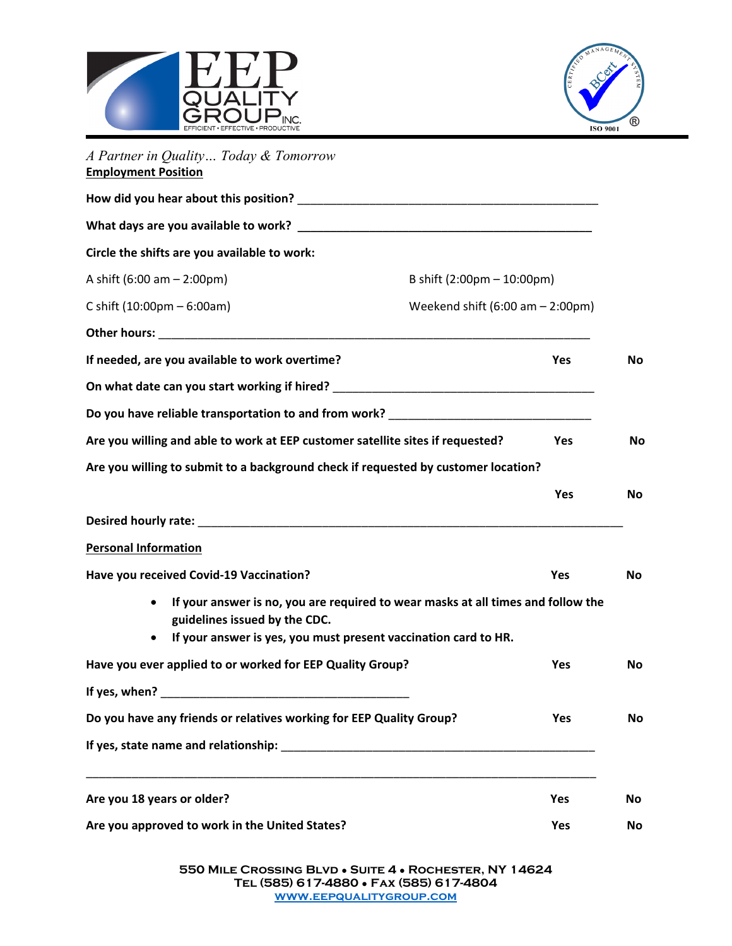



| A Partner in Quality Today & Tomorrow<br><b>Employment Position</b>                                                                                   |                                                                                                               |           |  |                                              |
|-------------------------------------------------------------------------------------------------------------------------------------------------------|---------------------------------------------------------------------------------------------------------------|-----------|--|----------------------------------------------|
|                                                                                                                                                       |                                                                                                               |           |  |                                              |
|                                                                                                                                                       |                                                                                                               |           |  | Circle the shifts are you available to work: |
| A shift $(6:00 \text{ am} - 2:00 \text{ pm})$                                                                                                         | B shift (2:00pm - 10:00pm)                                                                                    |           |  |                                              |
| C shift $(10:00 \text{pm} - 6:00 \text{am})$                                                                                                          | Weekend shift $(6:00 \text{ am} - 2:00 \text{pm})$                                                            |           |  |                                              |
|                                                                                                                                                       |                                                                                                               |           |  |                                              |
| If needed, are you available to work overtime?                                                                                                        | Yes                                                                                                           | No        |  |                                              |
| On what date can you start working if hired? ___________________________________                                                                      |                                                                                                               |           |  |                                              |
|                                                                                                                                                       | Do you have reliable transportation to and from work? Decreases the contract of the control of the control of |           |  |                                              |
| Are you willing and able to work at EEP customer satellite sites if requested?<br>Yes                                                                 |                                                                                                               |           |  |                                              |
| Are you willing to submit to a background check if requested by customer location?                                                                    |                                                                                                               |           |  |                                              |
|                                                                                                                                                       | Yes                                                                                                           | <b>No</b> |  |                                              |
|                                                                                                                                                       |                                                                                                               |           |  |                                              |
| <b>Personal Information</b>                                                                                                                           |                                                                                                               |           |  |                                              |
| Have you received Covid-19 Vaccination?                                                                                                               | Yes                                                                                                           | <b>No</b> |  |                                              |
| $\bullet$<br>guidelines issued by the CDC.<br>If your answer is yes, you must present vaccination card to HR.<br>$\bullet$                            | If your answer is no, you are required to wear masks at all times and follow the                              |           |  |                                              |
| Have you ever applied to or worked for EEP Quality Group?                                                                                             | Yes                                                                                                           | No        |  |                                              |
| If yes, when?                                                                                                                                         |                                                                                                               |           |  |                                              |
| Do you have any friends or relatives working for EEP Quality Group?                                                                                   | Yes                                                                                                           | <b>No</b> |  |                                              |
| If yes, state name and relationship:<br>and the state of the state of the state of the state of the state of the state of the state of the state of t |                                                                                                               |           |  |                                              |
| Are you 18 years or older?                                                                                                                            | Yes                                                                                                           | No        |  |                                              |
| Are you approved to work in the United States?                                                                                                        | Yes                                                                                                           | No        |  |                                              |

**550 Mile Crossing Blvd** ● **Suite 4** ● **Rochester, NY 14624 Tel (585) 617-4880** ● **Fax (585) 617-4804 [www.eepqualitygroup.com](http://www.eepqualitygroup.com/)**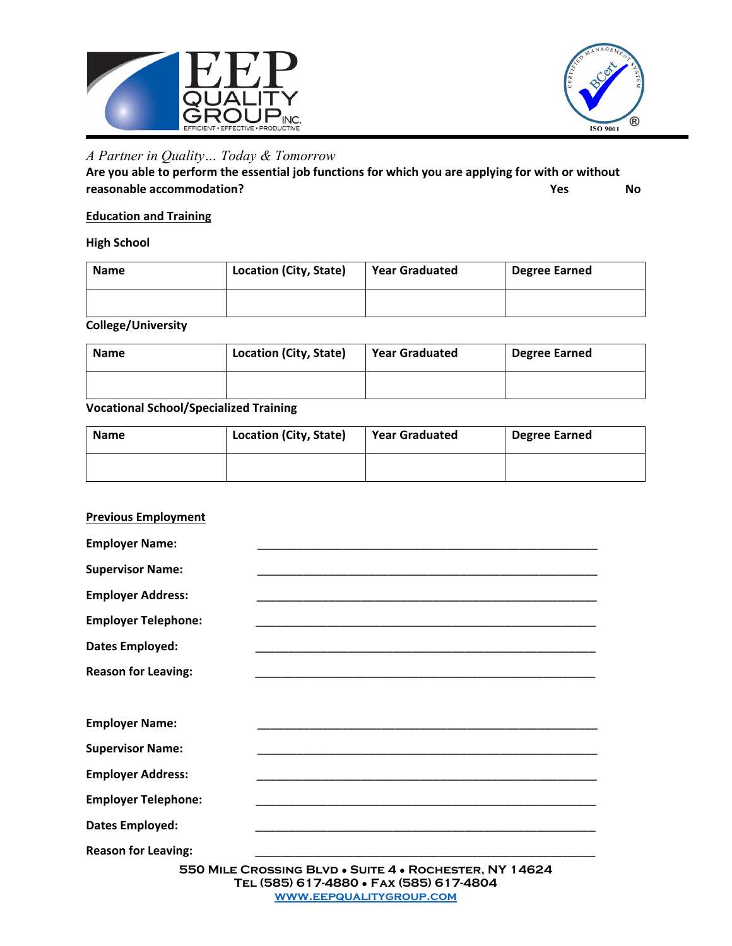



## *A Partner in Quality… Today & Tomorrow*

**Are you able to perform the essential job functions for which you are applying for with or without reasonable accommodation?** No **Research 2019** No **Research 2019** No **Research 2019** No

#### **Education and Training**

#### **High School**

| <b>Name</b> | Location (City, State) | <b>Year Graduated</b> | <b>Degree Earned</b> |
|-------------|------------------------|-----------------------|----------------------|
|             |                        |                       |                      |

#### **College/University**

| <b>Name</b> | Location (City, State) | <b>Year Graduated</b> | <b>Degree Earned</b> |
|-------------|------------------------|-----------------------|----------------------|
|             |                        |                       |                      |

### **Vocational School/Specialized Training**

| <b>Name</b> | Location (City, State) | <b>Year Graduated</b> | <b>Degree Earned</b> |
|-------------|------------------------|-----------------------|----------------------|
|             |                        |                       |                      |

| <b>Previous Employment</b> |                                                                                                   |
|----------------------------|---------------------------------------------------------------------------------------------------|
| <b>Employer Name:</b>      |                                                                                                   |
| <b>Supervisor Name:</b>    |                                                                                                   |
| <b>Employer Address:</b>   |                                                                                                   |
| <b>Employer Telephone:</b> |                                                                                                   |
| Dates Employed:            |                                                                                                   |
| <b>Reason for Leaving:</b> |                                                                                                   |
| <b>Employer Name:</b>      |                                                                                                   |
| <b>Supervisor Name:</b>    |                                                                                                   |
| <b>Employer Address:</b>   |                                                                                                   |
| <b>Employer Telephone:</b> |                                                                                                   |
| Dates Employed:            |                                                                                                   |
| <b>Reason for Leaving:</b> |                                                                                                   |
|                            | 550 MILE CROSSING BLVD . SUITE 4 . ROCHESTER, NY 14624<br>TEL (585) 617-4880 · FAX (585) 617-4804 |
|                            | <b>WWW.EEPQUALITYGROUP.COM</b>                                                                    |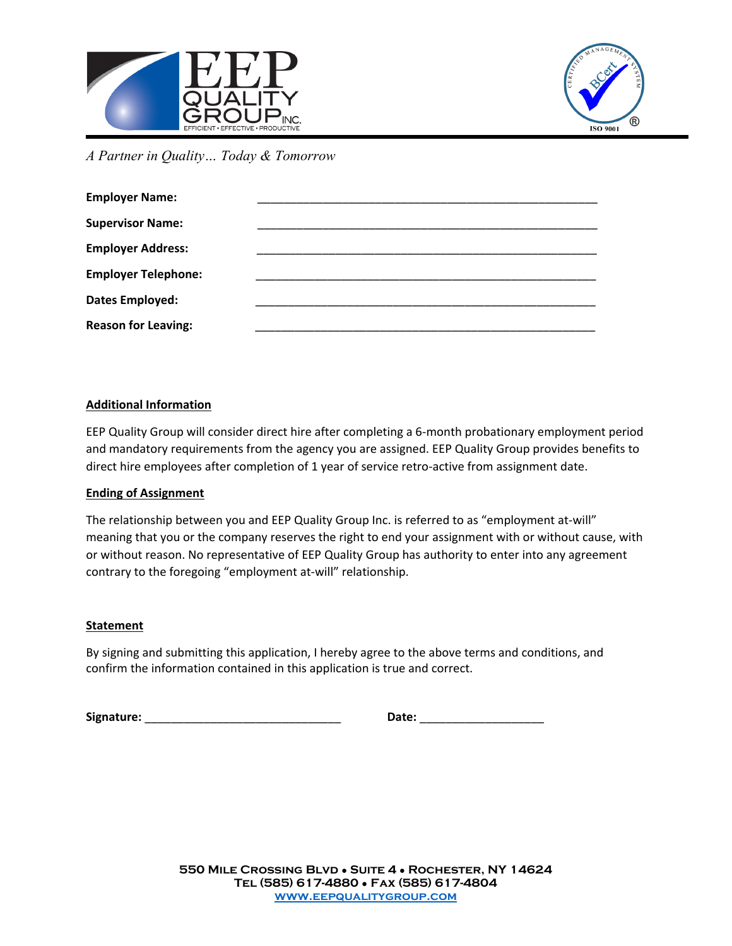



*A Partner in Quality… Today & Tomorrow*

| <b>Employer Name:</b>      |  |
|----------------------------|--|
| <b>Supervisor Name:</b>    |  |
| <b>Employer Address:</b>   |  |
| <b>Employer Telephone:</b> |  |
| <b>Dates Employed:</b>     |  |
| <b>Reason for Leaving:</b> |  |

#### **Additional Information**

EEP Quality Group will consider direct hire after completing a 6-month probationary employment period and mandatory requirements from the agency you are assigned. EEP Quality Group provides benefits to direct hire employees after completion of 1 year of service retro-active from assignment date.

#### **Ending of Assignment**

The relationship between you and EEP Quality Group Inc. is referred to as "employment at-will" meaning that you or the company reserves the right to end your assignment with or without cause, with or without reason. No representative of EEP Quality Group has authority to enter into any agreement contrary to the foregoing "employment at-will" relationship.

#### **Statement**

By signing and submitting this application, I hereby agree to the above terms and conditions, and confirm the information contained in this application is true and correct.

| Signature: | Date: |
|------------|-------|
|            |       |

| Date: |  |
|-------|--|
|       |  |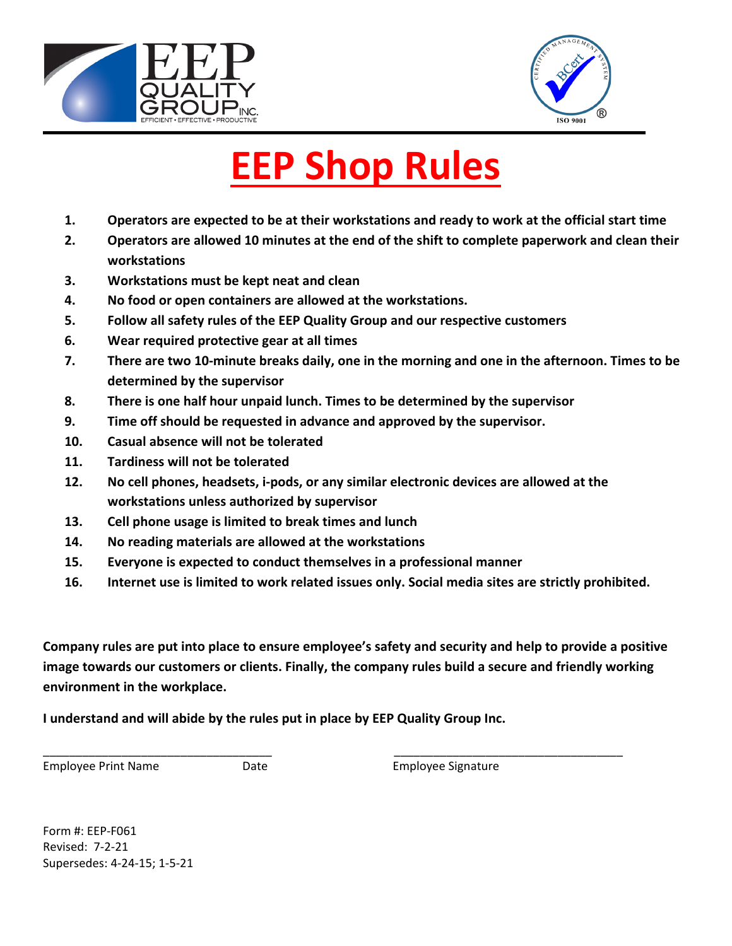



# **EEP Shop Rules**

- **1. Operators are expected to be at their workstations and ready to work at the official start time**
- **2. Operators are allowed 10 minutes at the end of the shift to complete paperwork and clean their workstations**
- **3. Workstations must be kept neat and clean**
- **4. No food or open containers are allowed at the workstations.**
- **5. Follow all safety rules of the EEP Quality Group and our respective customers**
- **6. Wear required protective gear at all times**
- **7. There are two 10-minute breaks daily, one in the morning and one in the afternoon. Times to be determined by the supervisor**
- **8. There is one half hour unpaid lunch. Times to be determined by the supervisor**
- **9. Time off should be requested in advance and approved by the supervisor.**
- **10. Casual absence will not be tolerated**
- **11. Tardiness will not be tolerated**
- **12. No cell phones, headsets, i-pods, or any similar electronic devices are allowed at the workstations unless authorized by supervisor**
- **13. Cell phone usage is limited to break times and lunch**
- **14. No reading materials are allowed at the workstations**
- **15. Everyone is expected to conduct themselves in a professional manner**
- **16. Internet use is limited to work related issues only. Social media sites are strictly prohibited.**

**Company rules are put into place to ensure employee's safety and security and help to provide a positive image towards our customers or clients. Finally, the company rules build a secure and friendly working environment in the workplace.** 

\_\_\_\_\_\_\_\_\_\_\_\_\_\_\_\_\_\_\_\_\_\_\_\_\_\_\_\_\_\_\_\_\_\_\_ \_\_\_\_\_\_\_\_\_\_\_\_\_\_\_\_\_\_\_\_\_\_\_\_\_\_\_\_\_\_\_\_\_\_\_

**I understand and will abide by the rules put in place by EEP Quality Group Inc.** 

Employee Print Name **Date Date Employee Signature** 

Form #: EEP-F061 Revised: 7-2-21 Supersedes: 4-24-15; 1-5-21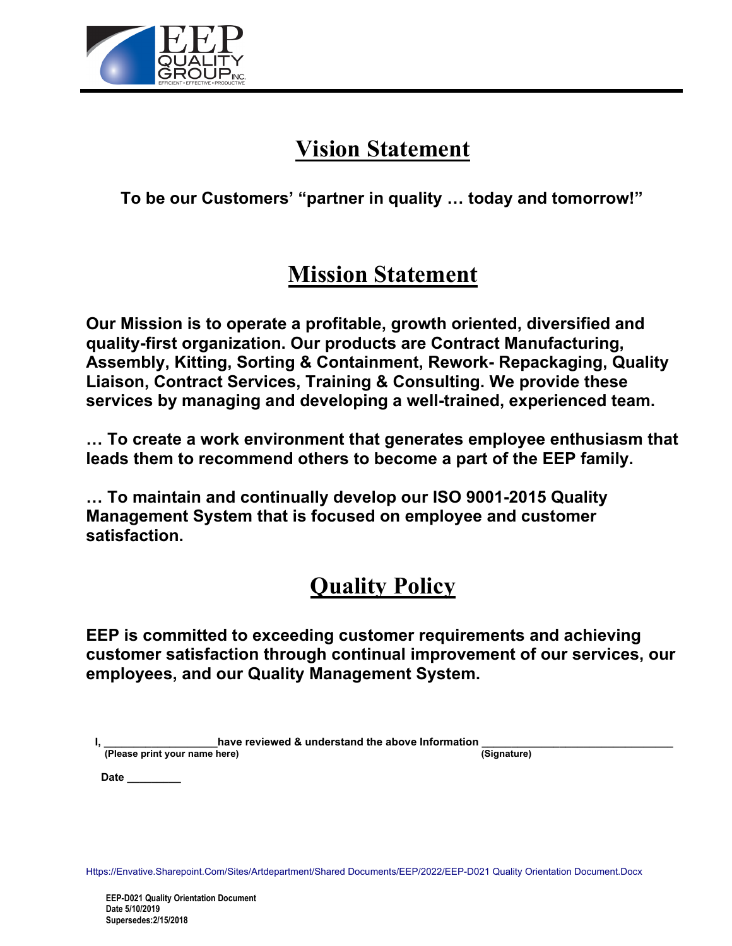

# **Vision Statement**

**To be our Customers' "partner in quality … today and tomorrow!"**

# **Mission Statement**

**Our Mission is to operate a profitable, growth oriented, diversified and quality-first organization. Our products are Contract Manufacturing, Assembly, Kitting, Sorting & Containment, Rework- Repackaging, Quality Liaison, Contract Services, Training & Consulting. We provide these services by managing and developing a well-trained, experienced team.**

**… To create a work environment that generates employee enthusiasm that leads them to recommend others to become a part of the EEP family.** 

**… To maintain and continually develop our ISO 9001-2015 Quality Management System that is focused on employee and customer satisfaction.**

# **Quality Policy**

**EEP is committed to exceeding customer requirements and achieving customer satisfaction through continual improvement of our services, our employees, and our Quality Management System.**

|                               | have reviewed & understand the above Information |             |
|-------------------------------|--------------------------------------------------|-------------|
| (Please print your name here) |                                                  | (Signature) |

 **Date \_\_\_\_\_\_\_\_\_**

Https://Envative.Sharepoint.Com/Sites/Artdepartment/Shared Documents/EEP/2022/EEP-D021 Quality Orientation Document.Docx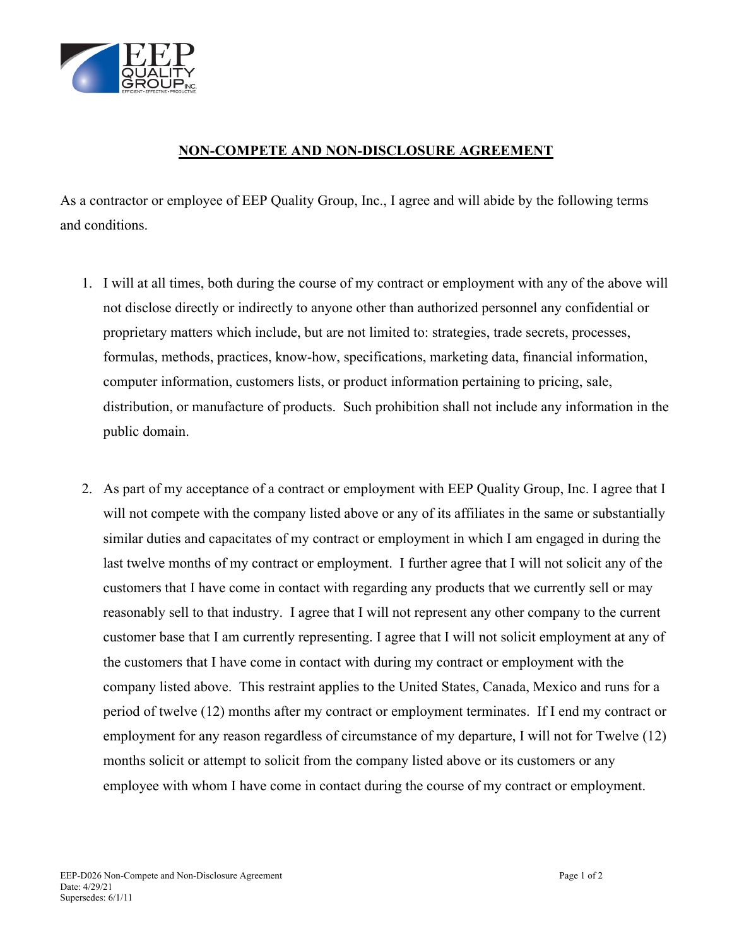

### **NON-COMPETE AND NON-DISCLOSURE AGREEMENT**

As a contractor or employee of EEP Quality Group, Inc., I agree and will abide by the following terms and conditions.

- 1. I will at all times, both during the course of my contract or employment with any of the above will not disclose directly or indirectly to anyone other than authorized personnel any confidential or proprietary matters which include, but are not limited to: strategies, trade secrets, processes, formulas, methods, practices, know-how, specifications, marketing data, financial information, computer information, customers lists, or product information pertaining to pricing, sale, distribution, or manufacture of products. Such prohibition shall not include any information in the public domain.
- 2. As part of my acceptance of a contract or employment with EEP Quality Group, Inc. I agree that I will not compete with the company listed above or any of its affiliates in the same or substantially similar duties and capacitates of my contract or employment in which I am engaged in during the last twelve months of my contract or employment. I further agree that I will not solicit any of the customers that I have come in contact with regarding any products that we currently sell or may reasonably sell to that industry. I agree that I will not represent any other company to the current customer base that I am currently representing. I agree that I will not solicit employment at any of the customers that I have come in contact with during my contract or employment with the company listed above. This restraint applies to the United States, Canada, Mexico and runs for a period of twelve (12) months after my contract or employment terminates. If I end my contract or employment for any reason regardless of circumstance of my departure, I will not for Twelve (12) months solicit or attempt to solicit from the company listed above or its customers or any employee with whom I have come in contact during the course of my contract or employment.